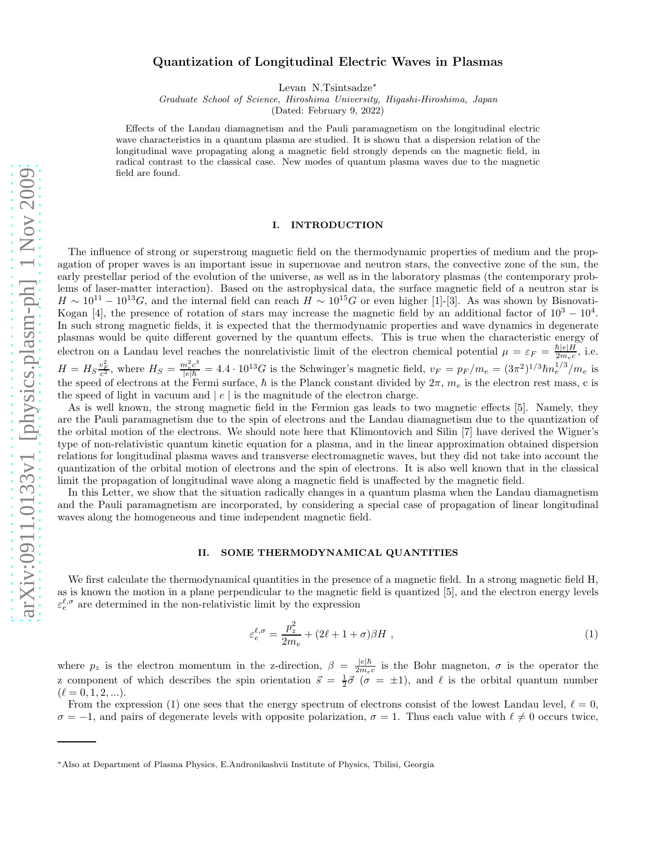# Quantization of Longitudinal Electric Waves in Plasmas

Levan N.Tsintsadze<sup>∗</sup>

Graduate School of Science, Hiroshima University, Higashi-Hiroshima, Japan

(Dated: February 9, 2022)

Effects of the Landau diamagnetism and the Pauli paramagnetism on the longitudinal electric wave characteristics in a quantum plasma are studied. It is shown that a dispersion relation of the longitudinal wave propagating along a magnetic field strongly depends on the magnetic field, in radical contrast to the classical case. New modes of quantum plasma waves due to the magnetic field are found.

### I. INTRODUCTION

The influence of strong or superstrong magnetic field on the thermodynamic properties of medium and the propagation of proper waves is an important issue in supernovae and neutron stars, the convective zone of the sun, the early prestellar period of the evolution of the universe, as well as in the laboratory plasmas (the contemporary problems of laser-matter interaction). Based on the astrophysical data, the surface magnetic field of a neutron star is  $H \sim 10^{11} - 10^{13} G$ , and the internal field can reach  $H \sim 10^{15} G$  or even higher [1]-[3]. As was shown by Bisnovati-Kogan [4], the presence of rotation of stars may increase the magnetic field by an additional factor of  $10^3 - 10^4$ . In such strong magnetic fields, it is expected that the thermodynamic properties and wave dynamics in degenerate plasmas would be quite different governed by the quantum effects. This is true when the characteristic energy of electron on a Landau level reaches the nonrelativistic limit of the electron chemical potential  $\mu = \varepsilon_F = \frac{\hbar|e|H}{2m_ec}$  $\frac{n|e|H}{2m_ec}$ , i.e.  $H = H_S \frac{v_F^2}{c^2}$ , where  $H_S = \frac{m_e^2 c^3}{|e|\hbar} = 4.4 \cdot 10^{13} G$  is the Schwinger's magnetic field,  $v_F = p_F/m_e = (3\pi^2)^{1/3} \hbar n_e^{1/3}/m_e$  is the speed of electrons at the Fermi surface,  $\hbar$  is the Planck constant divided by  $2\pi$ ,  $m_e$  is the electron rest mass, c is the speed of light in vacuum and  $|e|$  is the magnitude of the electron charge.

As is well known, the strong magnetic field in the Fermion gas leads to two magnetic effects [5]. Namely, they are the Pauli paramagnetism due to the spin of electrons and the Landau diamagnetism due to the quantization of the orbital motion of the electrons. We should note here that Klimontovich and Silin [7] have derived the Wigner's type of non-relativistic quantum kinetic equation for a plasma, and in the linear approximation obtained dispersion relations for longitudinal plasma waves and transverse electromagnetic waves, but they did not take into account the quantization of the orbital motion of electrons and the spin of electrons. It is also well known that in the classical limit the propagation of longitudinal wave along a magnetic field is unaffected by the magnetic field.

In this Letter, we show that the situation radically changes in a quantum plasma when the Landau diamagnetism and the Pauli paramagnetism are incorporated, by considering a special case of propagation of linear longitudinal waves along the homogeneous and time independent magnetic field.

## II. SOME THERMODYNAMICAL QUANTITIES

We first calculate the thermodynamical quantities in the presence of a magnetic field. In a strong magnetic field H, as is known the motion in a plane perpendicular to the magnetic field is quantized [5], and the electron energy levels  $\varepsilon_e^{\ell,\sigma}$  are determined in the non-relativistic limit by the expression

$$
\varepsilon_e^{\ell,\sigma} = \frac{p_z^2}{2m_e} + (2\ell + 1 + \sigma)\beta H \tag{1}
$$

where  $p_z$  is the electron momentum in the z-direction,  $\beta = \frac{|e|\hbar}{2m_e}$  $rac{|e|n}{2m_ec}$  is the Bohr magneton,  $\sigma$  is the operator the z component of which describes the spin orientation  $\vec{s} = \frac{1}{2}\vec{\sigma}$  ( $\sigma = \pm 1$ ), and  $\ell$  is the orbital quantum number  $(\ell = 0, 1, 2, \ldots).$ 

From the expression (1) one sees that the energy spectrum of electrons consist of the lowest Landau level,  $\ell = 0$ ,  $\sigma = -1$ , and pairs of degenerate levels with opposite polarization,  $\sigma = 1$ . Thus each value with  $\ell \neq 0$  occurs twice,

<sup>∗</sup>Also at Department of Plasma Physics, E.Andronikashvii Institute of Physics, Tbilisi, Georgia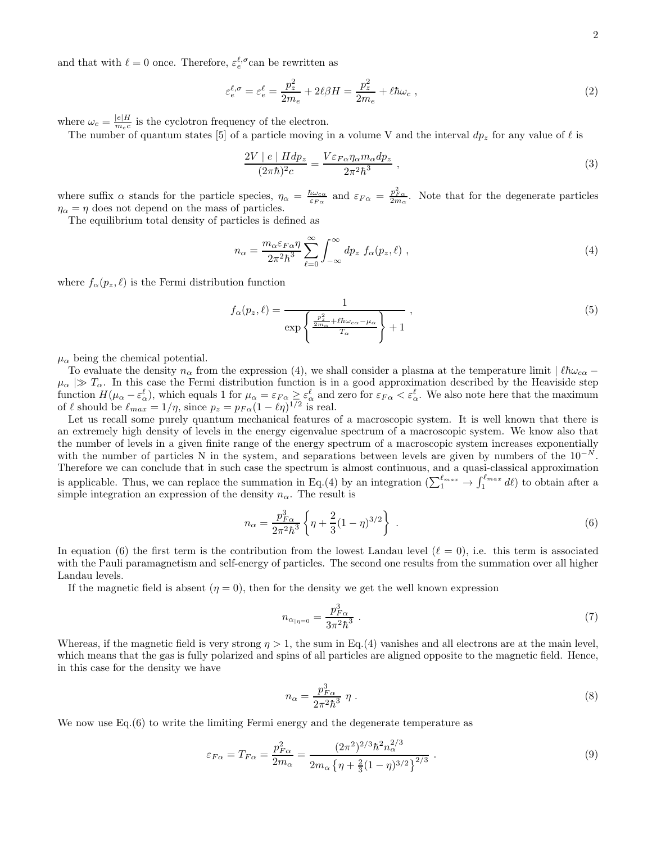and that with  $\ell = 0$  once. Therefore,  $\varepsilon_e^{\ell, \sigma}$  can be rewritten as

$$
\varepsilon_e^{\ell,\sigma} = \varepsilon_e^{\ell} = \frac{p_z^2}{2m_e} + 2\ell\beta H = \frac{p_z^2}{2m_e} + \ell\hbar\omega_c \;, \tag{2}
$$

where  $\omega_c = \frac{|e|H}{m_c c}$  $\frac{|e|H}{m_ec}$  is the cyclotron frequency of the electron.

The number of quantum states [5] of a particle moving in a volume V and the interval  $dp_z$  for any value of  $\ell$  is

$$
\frac{2V \mid e \mid Hdp_z}{(2\pi\hbar)^2 c} = \frac{V\varepsilon_{F\alpha}\eta_\alpha m_\alpha dp_z}{2\pi^2\hbar^3} \,,\tag{3}
$$

where suffix  $\alpha$  stands for the particle species,  $\eta_{\alpha} = \frac{\hbar \omega_{c\alpha}}{\varepsilon_{F\alpha}}$  and  $\varepsilon_{F\alpha} = \frac{p_{F\alpha}^2}{2m_{\alpha}}$ . Note that for the degenerate particles  $\eta_{\alpha} = \eta$  does not depend on the mass of particles.

The equilibrium total density of particles is defined as

$$
n_{\alpha} = \frac{m_{\alpha} \varepsilon_{F\alpha} \eta}{2\pi^2 \hbar^3} \sum_{\ell=0}^{\infty} \int_{-\infty}^{\infty} dp_z f_{\alpha}(p_z, \ell) , \qquad (4)
$$

where  $f_{\alpha}(p_z, \ell)$  is the Fermi distribution function

$$
f_{\alpha}(p_z, \ell) = \frac{1}{\exp\left\{\frac{p_z^2}{2m_{\alpha}} + \ell \hbar \omega_{c\alpha} - \mu_{\alpha}} \frac{1}{T_{\alpha}}\right\} + 1},
$$
\n<sup>(5)</sup>

 $\mu_{\alpha}$  being the chemical potential.

To evaluate the density  $n_{\alpha}$  from the expression (4), we shall consider a plasma at the temperature limit  $|\ell\hbar\omega_{c\alpha} \mu_{\alpha} \gg T_{\alpha}$ . In this case the Fermi distribution function is in a good approximation described by the Heaviside step function  $H(\mu_{\alpha} - \varepsilon_{\alpha}^{\ell})$ , which equals 1 for  $\mu_{\alpha} = \varepsilon_{F\alpha} \geq \varepsilon_{\alpha}^{\ell}$  and zero for  $\varepsilon_{F\alpha} < \varepsilon_{\alpha}^{\ell}$ . We also note here that the maximum of  $\ell$  should be  $\ell_{max} = 1/\eta$ , since  $p_z = p_{F\alpha}(1 - \ell\eta)^{1/2}$  is real.

Let us recall some purely quantum mechanical features of a macroscopic system. It is well known that there is an extremely high density of levels in the energy eigenvalue spectrum of a macroscopic system. We know also that the number of levels in a given finite range of the energy spectrum of a macroscopic system increases exponentially with the number of particles N in the system, and separations between levels are given by numbers of the  $10^{-N}$ . Therefore we can conclude that in such case the spectrum is almost continuous, and a quasi-classical approximation is applicable. Thus, we can replace the summation in Eq.(4) by an integration  $(\sum_{1}^{\ell_{max}} \to \int_{1}^{\ell_{max}} d\ell)$  to obtain after a simple integration an expression of the density  $n_{\alpha}$ . The result is

$$
n_{\alpha} = \frac{p_{F\alpha}^3}{2\pi^2 \hbar^3} \left\{ \eta + \frac{2}{3} (1 - \eta)^{3/2} \right\} \ . \tag{6}
$$

In equation (6) the first term is the contribution from the lowest Landau level ( $\ell = 0$ ), i.e. this term is associated with the Pauli paramagnetism and self-energy of particles. The second one results from the summation over all higher Landau levels.

If the magnetic field is absent  $(\eta = 0)$ , then for the density we get the well known expression

$$
n_{\alpha_{\mid \eta=0}} = \frac{p_{F\alpha}^3}{3\pi^2\hbar^3} \ . \tag{7}
$$

Whereas, if the magnetic field is very strong  $\eta > 1$ , the sum in Eq.(4) vanishes and all electrons are at the main level, which means that the gas is fully polarized and spins of all particles are aligned opposite to the magnetic field. Hence, in this case for the density we have

$$
n_{\alpha} = \frac{p_{F\alpha}^3}{2\pi^2 \hbar^3} \eta \ . \tag{8}
$$

We now use Eq.(6) to write the limiting Fermi energy and the degenerate temperature as

$$
\varepsilon_{F\alpha} = T_{F\alpha} = \frac{p_{F\alpha}^2}{2m_{\alpha}} = \frac{(2\pi^2)^{2/3} \hbar^2 n_{\alpha}^{2/3}}{2m_{\alpha} \left\{ \eta + \frac{2}{3} (1 - \eta)^{3/2} \right\}^{2/3}}.
$$
\n(9)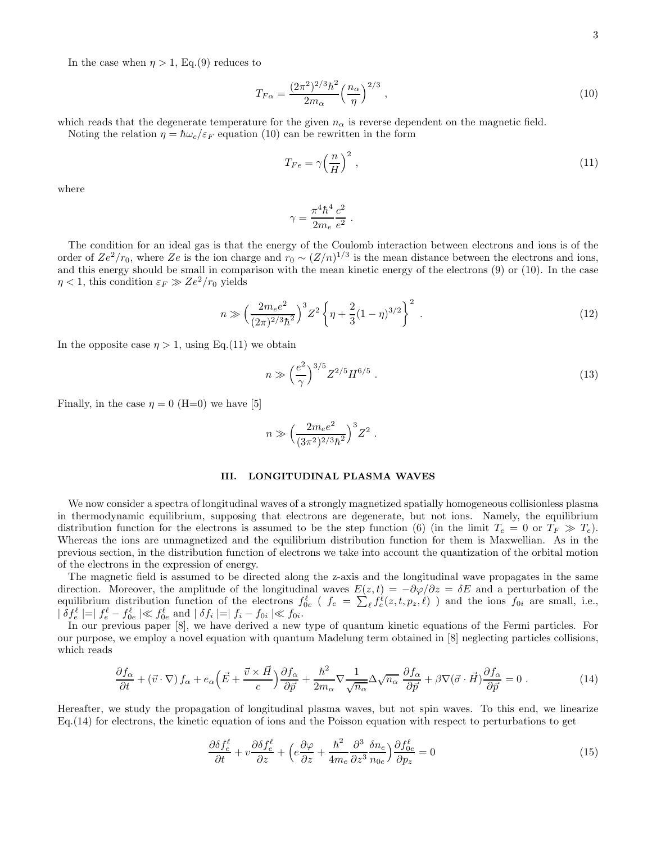$$
T_{F\alpha} = \frac{(2\pi^2)^{2/3}\hbar^2}{2m_{\alpha}} \left(\frac{n_{\alpha}}{\eta}\right)^{2/3},\tag{10}
$$

which reads that the degenerate temperature for the given  $n_{\alpha}$  is reverse dependent on the magnetic field. Noting the relation  $\eta = \hbar \omega_c / \varepsilon_F$  equation (10) can be rewritten in the form

$$
T_{Fe} = \gamma \left(\frac{n}{H}\right)^2,\tag{11}
$$

where

$$
\gamma = \frac{\pi^4\hbar^4}{2m_e}\frac{c^2}{e^2}~.
$$

The condition for an ideal gas is that the energy of the Coulomb interaction between electrons and ions is of the order of  $Ze^2/r_0$ , where  $Ze$  is the ion charge and  $r_0 \sim (Z/n)^{1/3}$  is the mean distance between the electrons and ions, and this energy should be small in comparison with the mean kinetic energy of the electrons (9) or (10). In the case  $\eta$  < 1, this condition  $\varepsilon_F \gg Ze^2/r_0$  yields

$$
n \gg \left(\frac{2m_e e^2}{(2\pi)^{2/3}\hbar^2}\right)^3 Z^2 \left\{\eta + \frac{2}{3}(1-\eta)^{3/2}\right\}^2 \,. \tag{12}
$$

.

In the opposite case  $\eta > 1$ , using Eq.(11) we obtain

$$
n \gg \left(\frac{e^2}{\gamma}\right)^{3/5} Z^{2/5} H^{6/5} \tag{13}
$$

Finally, in the case  $\eta = 0$  (H=0) we have [5]

$$
n \gg \Big(\frac{2m_e e^2}{(3\pi^2)^{2/3}\hbar^2}\Big)^3 Z^2
$$

### III. LONGITUDINAL PLASMA WAVES

We now consider a spectra of longitudinal waves of a strongly magnetized spatially homogeneous collisionless plasma in thermodynamic equilibrium, supposing that electrons are degenerate, but not ions. Namely, the equilibrium distribution function for the electrons is assumed to be the step function (6) (in the limit  $T_e = 0$  or  $T_F \gg T_e$ ). Whereas the ions are unmagnetized and the equilibrium distribution function for them is Maxwellian. As in the previous section, in the distribution function of electrons we take into account the quantization of the orbital motion of the electrons in the expression of energy.

The magnetic field is assumed to be directed along the z-axis and the longitudinal wave propagates in the same direction. Moreover, the amplitude of the longitudinal waves  $E(z, t) = -\partial \varphi/\partial z = \delta E$  and a perturbation of the equilibrium distribution function of the electrons  $f_{0e}^{\ell}$  ( $f_e = \sum_{\ell} f_e^{\ell}(z, t, p_z, \ell)$ ) and the ions  $f_{0i}$  are small, i.e.,  $\mid \delta f_e^{\ell} \mid = \mid f_e^{\ell} - f_{0e}^{\ell} \mid \ll f_{0e}^{\ell} \text{ and } \mid \delta f_i \mid = \mid f_i - f_{0i} \mid \ll f_{0i}.$ 

In our previous paper [8], we have derived a new type of quantum kinetic equations of the Fermi particles. For our purpose, we employ a novel equation with quantum Madelung term obtained in [8] neglecting particles collisions, which reads

$$
\frac{\partial f_{\alpha}}{\partial t} + (\vec{v} \cdot \nabla) f_{\alpha} + e_{\alpha} \left( \vec{E} + \frac{\vec{v} \times \vec{H}}{c} \right) \frac{\partial f_{\alpha}}{\partial \vec{p}} + \frac{\hbar^2}{2m_{\alpha}} \nabla \frac{1}{\sqrt{n_{\alpha}}} \Delta \sqrt{n_{\alpha}} \frac{\partial f_{\alpha}}{\partial \vec{p}} + \beta \nabla (\vec{\sigma} \cdot \vec{H}) \frac{\partial f_{\alpha}}{\partial \vec{p}} = 0 \tag{14}
$$

Hereafter, we study the propagation of longitudinal plasma waves, but not spin waves. To this end, we linearize Eq.(14) for electrons, the kinetic equation of ions and the Poisson equation with respect to perturbations to get

$$
\frac{\partial \delta f_e^{\ell}}{\partial t} + v \frac{\partial \delta f_e^{\ell}}{\partial z} + \left( e \frac{\partial \varphi}{\partial z} + \frac{\hbar^2}{4m_e} \frac{\partial^3}{\partial z^3} \frac{\delta n_e}{n_{0e}} \right) \frac{\partial f_{0e}^{\ell}}{\partial p_z} = 0 \tag{15}
$$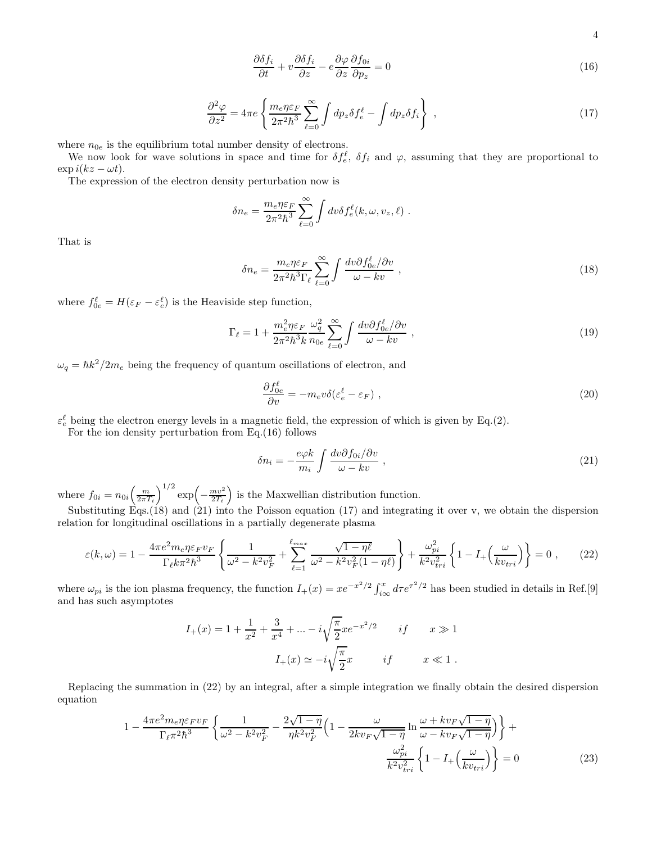4

$$
\frac{\partial \delta f_i}{\partial t} + v \frac{\partial \delta f_i}{\partial z} - e \frac{\partial \varphi}{\partial z} \frac{\partial f_{0i}}{\partial p_z} = 0
$$
\n(16)

$$
\frac{\partial^2 \varphi}{\partial z^2} = 4\pi e \left\{ \frac{m_e \eta \varepsilon_F}{2\pi^2 \hbar^3} \sum_{\ell=0}^{\infty} \int dp_z \delta f_e^{\ell} - \int dp_z \delta f_i \right\} , \qquad (17)
$$

where  $n_{0e}$  is the equilibrium total number density of electrons.

We now look for wave solutions in space and time for  $\delta f_e^{\ell}$ ,  $\delta f_i$  and  $\varphi$ , assuming that they are proportional to  $\exp i(kz - \omega t).$ 

The expression of the electron density perturbation now is

$$
\delta n_e = \frac{m_e \eta \varepsilon_F}{2\pi^2 \hbar^3} \sum_{\ell=0}^{\infty} \int dv \delta f_e^{\ell}(k, \omega, v_z, \ell) .
$$

That is

$$
\delta n_e = \frac{m_e \eta \varepsilon_F}{2\pi^2 \hbar^3 \Gamma_\ell} \sum_{\ell=0}^{\infty} \int \frac{dv \partial f_{0e}^{\ell} / \partial v}{\omega - kv} , \qquad (18)
$$

where  $f_{0e}^{\ell} = H(\varepsilon_F - \varepsilon_e^{\ell})$  is the Heaviside step function,

$$
\Gamma_{\ell} = 1 + \frac{m_e^2 \eta \varepsilon_F}{2\pi^2 \hbar^3 k} \frac{\omega_q^2}{n_{0e}} \sum_{\ell=0}^{\infty} \int \frac{dv \partial f_{0e}^{\ell} / \partial v}{\omega - kv} , \qquad (19)
$$

 $\omega_q = \hbar k^2 / 2m_e$  being the frequency of quantum oscillations of electron, and

$$
\frac{\partial f_{0e}^{\ell}}{\partial v} = -m_e v \delta(\varepsilon_e^{\ell} - \varepsilon_F) \tag{20}
$$

 $\varepsilon_e^{\ell}$  being the electron energy levels in a magnetic field, the expression of which is given by Eq.(2).

For the ion density perturbation from Eq.(16) follows

$$
\delta n_i = -\frac{e\varphi k}{m_i} \int \frac{dv \partial f_{0i}/\partial v}{\omega - kv} , \qquad (21)
$$

where  $f_{0i} = n_{0i} \left(\frac{m}{2\pi T_i}\right)^{1/2} \exp\left(-\frac{mv^2}{2T_i}\right)$  is the Maxwellian distribution function.

Substituting Eqs.(18) and (21) into the Poisson equation (17) and integrating it over v, we obtain the dispersion relation for longitudinal oscillations in a partially degenerate plasma

$$
\varepsilon(k,\omega) = 1 - \frac{4\pi e^2 m_e \eta \varepsilon_F v_F}{\Gamma_\ell k \pi^2 \hbar^3} \left\{ \frac{1}{\omega^2 - k^2 v_F^2} + \sum_{\ell=1}^{\ell_{max}} \frac{\sqrt{1 - \eta \ell}}{\omega^2 - k^2 v_F^2 (1 - \eta \ell)} \right\} + \frac{\omega_{pi}^2}{k^2 v_{tri}^2} \left\{ 1 - I_+ \left( \frac{\omega}{kv_{tri}} \right) \right\} = 0 \;, \tag{22}
$$

where  $\omega_{pi}$  is the ion plasma frequency, the function  $I_+(x) = xe^{-x^2/2} \int_{i\infty}^x d\tau e^{\tau^2/2}$  has been studied in details in Ref.[9] and has such asymptotes

$$
I_{+}(x) = 1 + \frac{1}{x^{2}} + \frac{3}{x^{4}} + \dots - i\sqrt{\frac{\pi}{2}}xe^{-x^{2}/2} \quad if \quad x \gg 1
$$

$$
I_{+}(x) \simeq -i\sqrt{\frac{\pi}{2}}x \quad if \quad x \ll 1.
$$

Replacing the summation in (22) by an integral, after a simple integration we finally obtain the desired dispersion equation

$$
1 - \frac{4\pi e^2 m_e \eta \varepsilon_F v_F}{\Gamma_\ell \pi^2 \hbar^3} \left\{ \frac{1}{\omega^2 - k^2 v_F^2} - \frac{2\sqrt{1-\eta}}{\eta k^2 v_F^2} \left( 1 - \frac{\omega}{2k v_F \sqrt{1-\eta}} \ln \frac{\omega + k v_F \sqrt{1-\eta}}{\omega - k v_F \sqrt{1-\eta}} \right) \right\} + \frac{\omega_{pi}^2}{k^2 v_{tri}^2} \left\{ 1 - I_+ \left( \frac{\omega}{k v_{tri}} \right) \right\} = 0 \tag{23}
$$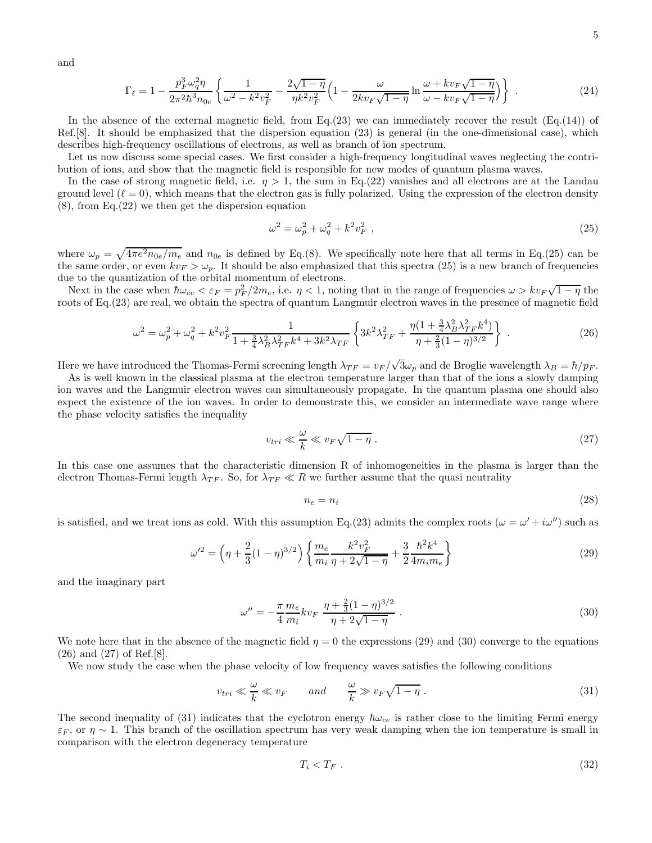and

$$
\Gamma_{\ell} = 1 - \frac{p_F^3 \omega_q^2 \eta}{2\pi^2 \hbar^3 n_{0e}} \left\{ \frac{1}{\omega^2 - k^2 v_F^2} - \frac{2\sqrt{1-\eta}}{\eta k^2 v_F^2} \left( 1 - \frac{\omega}{2k v_F \sqrt{1-\eta}} \ln \frac{\omega + k v_F \sqrt{1-\eta}}{\omega - k v_F \sqrt{1-\eta}} \right) \right\} \ . \tag{24}
$$

In the absence of the external magnetic field, from Eq.(23) we can immediately recover the result  $(Eq.(14))$  of Ref.[8]. It should be emphasized that the dispersion equation (23) is general (in the one-dimensional case), which describes high-frequency oscillations of electrons, as well as branch of ion spectrum.

Let us now discuss some special cases. We first consider a high-frequency longitudinal waves neglecting the contribution of ions, and show that the magnetic field is responsible for new modes of quantum plasma waves.

In the case of strong magnetic field, i.e.  $\eta > 1$ , the sum in Eq.(22) vanishes and all electrons are at the Landau ground level  $(\ell = 0)$ , which means that the electron gas is fully polarized. Using the expression of the electron density (8), from Eq.(22) we then get the dispersion equation

$$
\omega^2 = \omega_p^2 + \omega_q^2 + k^2 v_F^2 \tag{25}
$$

where  $\omega_p = \sqrt{4\pi e^2 n_{0e}/m_e}$  and  $n_{0e}$  is defined by Eq.(8). We specifically note here that all terms in Eq.(25) can be the same order, or even  $kv_F > \omega_p$ . It should be also emphasized that this spectra (25) is a new branch of frequencies due to the quantization of the orbital momentum of electrons.

Next in the case when  $\hbar\omega_{ce} < \varepsilon_F = p_F^2/2m_e$ , i.e.  $\eta < 1$ , noting that in the range of frequencies  $\omega > k v_F \sqrt{1-\eta}$  the roots of Eq.(23) are real, we obtain the spectra of quantum Langmuir electron waves in the presence of magnetic field

$$
\omega^2 = \omega_p^2 + \omega_q^2 + k^2 v_F^2 \frac{1}{1 + \frac{3}{4} \lambda_B^2 \lambda_{TF}^2 k^4 + 3k^2 \lambda_{TF}} \left\{ 3k^2 \lambda_{TF}^2 + \frac{\eta (1 + \frac{3}{4} \lambda_B^2 \lambda_{TF}^2 k^4)}{\eta + \frac{2}{3} (1 - \eta)^{3/2}} \right\} \ . \tag{26}
$$

Here we have introduced the Thomas-Fermi screening length  $\lambda_{TF} = v_F / \sqrt{3} \omega_p$  and de Broglie wavelength  $\lambda_B = \hbar / p_F$ .

As is well known in the classical plasma at the electron temperature larger than that of the ions a slowly damping ion waves and the Langmuir electron waves can simultaneously propagate. In the quantum plasma one should also expect the existence of the ion waves. In order to demonstrate this, we consider an intermediate wave range where the phase velocity satisfies the inequality

$$
v_{tri} \ll \frac{\omega}{k} \ll v_F \sqrt{1 - \eta} \ . \tag{27}
$$

In this case one assumes that the characteristic dimension R of inhomogeneities in the plasma is larger than the electron Thomas-Fermi length  $\lambda_{TF}$ . So, for  $\lambda_{TF} \ll R$  we further assume that the quasi neutrality

$$
n_e = n_i \tag{28}
$$

is satisfied, and we treat ions as cold. With this assumption Eq.(23) admits the complex roots  $(\omega = \omega' + i\omega'')$  such as

$$
\omega^2 = \left(\eta + \frac{2}{3}(1-\eta)^{3/2}\right) \left\{ \frac{m_e}{m_i} \frac{k^2 v_F^2}{\eta + 2\sqrt{1-\eta}} + \frac{3}{2} \frac{\hbar^2 k^4}{4m_i m_e} \right\} \tag{29}
$$

and the imaginary part

$$
\omega'' = -\frac{\pi}{4} \frac{m_e}{m_i} k v_F \frac{\eta + \frac{2}{3} (1 - \eta)^{3/2}}{\eta + 2\sqrt{1 - \eta}} \,. \tag{30}
$$

We note here that in the absence of the magnetic field  $\eta = 0$  the expressions (29) and (30) converge to the equations (26) and (27) of Ref.[8].

We now study the case when the phase velocity of low frequency waves satisfies the following conditions

$$
v_{tri} \ll \frac{\omega}{k} \ll v_F \qquad and \qquad \frac{\omega}{k} \gg v_F \sqrt{1 - \eta} \ . \tag{31}
$$

The second inequality of (31) indicates that the cyclotron energy  $\hbar\omega_{ce}$  is rather close to the limiting Fermi energy  $\varepsilon_F$ , or  $\eta \sim 1$ . This branch of the oscillation spectrum has very weak damping when the ion temperature is small in comparison with the electron degeneracy temperature

$$
T_i < T_F \tag{32}
$$